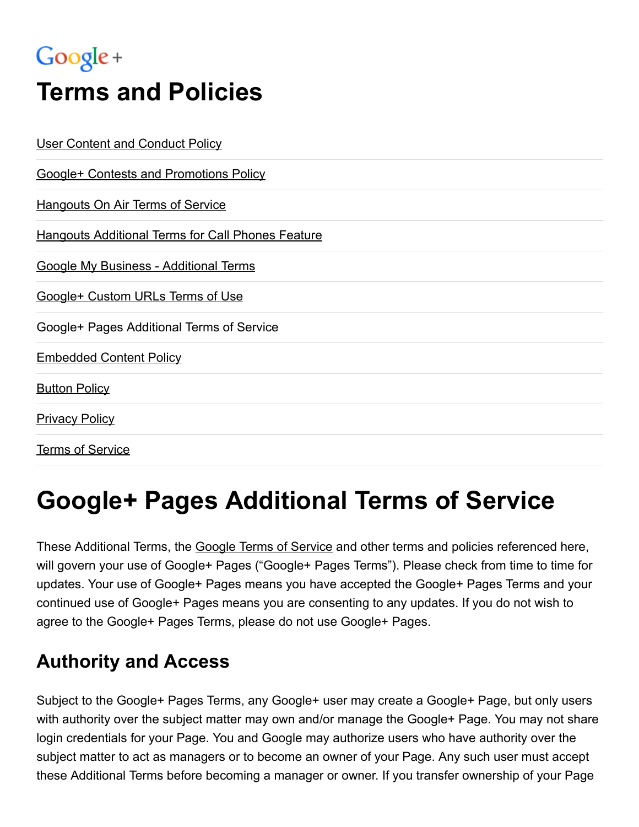## Google +

# Terms and Policies

| <b>User Content and Conduct Policy</b>                   |
|----------------------------------------------------------|
| <b>Google+ Contests and Promotions Policy</b>            |
| <b>Hangouts On Air Terms of Service</b>                  |
| <b>Hangouts Additional Terms for Call Phones Feature</b> |
| <b>Google My Business - Additional Terms</b>             |
| Google+ Custom URLs Terms of Use                         |
| Google+ Pages Additional Terms of Service                |
| <b>Embedded Content Policy</b>                           |
| <b>Button Policy</b>                                     |
| <b>Privacy Policy</b>                                    |
| <b>Terms of Service</b>                                  |

## Google+ Pages Additional Terms of Service

These Additional Terms, the Google Terms of [Service](https://www.google.com/accounts/TOS) and other terms and policies referenced here, will govern your use of Google+ Pages ("Google+ Pages Terms"). Please check from time to time for updates. Your use of Google+ Pages means you have accepted the Google+ Pages Terms and your continued use of Google+ Pages means you are consenting to any updates. If you do not wish to agree to the Google+ Pages Terms, please do not use Google+ Pages.

#### Authority and Access

Subject to the Google+ Pages Terms, any Google+ user may create a Google+ Page, but only users with authority over the subject matter may own and/or manage the Google+ Page. You may not share login credentials for your Page. You and Google may authorize users who have authority over the subject matter to act as managers or to become an owner of your Page. Any such user must accept these Additional Terms before becoming a manager or owner. If you transfer ownership of your Page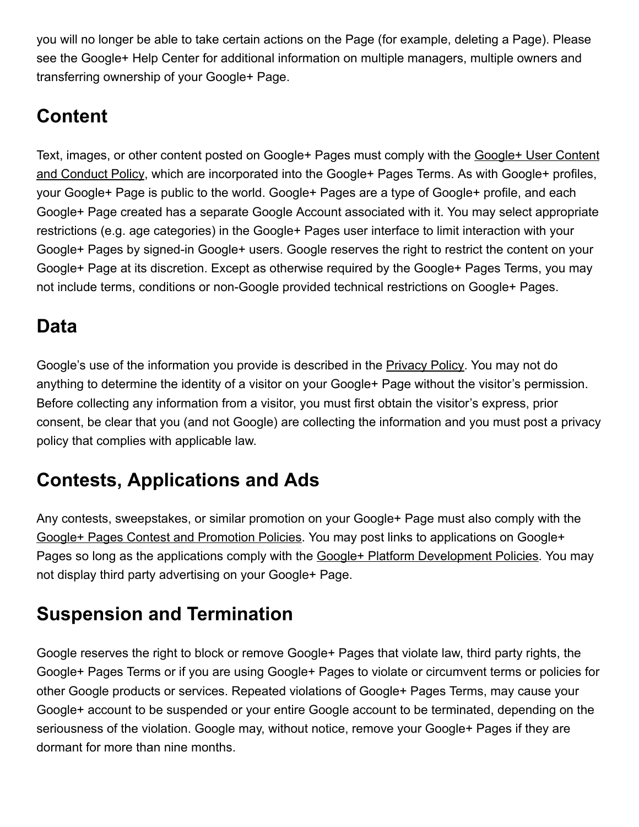you will no longer be able to take certain actions on the Page (for example, deleting a Page). Please see the Google+ Help Center for additional information on multiple managers, multiple owners and transferring ownership of your Google+ Page.

### **Content**

Text, images, or other content posted on Google+ Pages must comply with the Google+ User Content and Conduct Policy, which are [incorporated](https://www.google.com/+/policy/content.html) into the Google+ Pages Terms. As with Google+ profiles, your Google+ Page is public to the world. Google+ Pages are a type of Google+ profile, and each Google+ Page created has a separate Google Account associated with it. You may select appropriate restrictions (e.g. age categories) in the Google+ Pages user interface to limit interaction with your Google+ Pages by signed-in Google+ users. Google reserves the right to restrict the content on your Google+ Page at its discretion. Except as otherwise required by the Google+ Pages Terms, you may not include terms, conditions or non-Google provided technical restrictions on Google+ Pages.

### Data

Google's use of the information you provide is described in the [Privacy](https://www.google.com/policies/privacy/) Policy. You may not do anything to determine the identity of a visitor on your Google+ Page without the visitor's permission. Before collecting any information from a visitor, you must first obtain the visitor's express, prior consent, be clear that you (and not Google) are collecting the information and you must post a privacy policy that complies with applicable law.

### Contests, Applications and Ads

Any contests, sweepstakes, or similar promotion on your Google+ Page must also comply with the Google+ Pages Contest and [Promotion](https://www.google.com/+/policy/contestspolicy.html) Policies. You may post links to applications on Google+ Pages so long as the applications comply with the Google+ Platform [Development](https://developers.google.com/+/policies) Policies. You may not display third party advertising on your Google+ Page.

### Suspension and Termination

Google reserves the right to block or remove Google+ Pages that violate law, third party rights, the Google+ Pages Terms or if you are using Google+ Pages to violate or circumvent terms or policies for other Google products or services. Repeated violations of Google+ Pages Terms, may cause your Google+ account to be suspended or your entire Google account to be terminated, depending on the seriousness of the violation. Google may, without notice, remove your Google+ Pages if they are dormant for more than nine months.